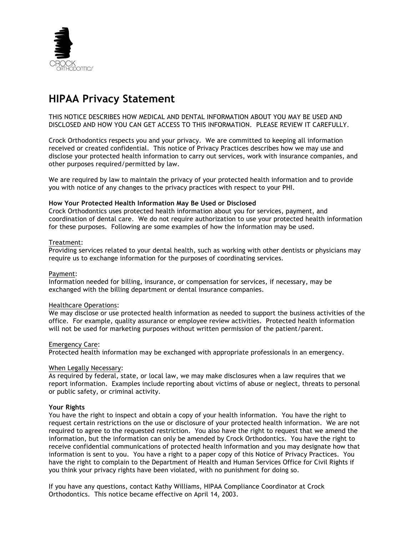

# **HIPAA Privacy Statement**

# THIS NOTICE DESCRIBES HOW MEDICAL AND DENTAL INFORMATION ABOUT YOU MAY BE USED AND DISCLOSED AND HOW YOU CAN GET ACCESS TO THIS INFORMATION. PLEASE REVIEW IT CAREFULLY.

Crock Orthodontics respects you and your privacy. We are committed to keeping all information received or created confidential. This notice of Privacy Practices describes how we may use and disclose your protected health information to carry out services, work with insurance companies, and other purposes required/permitted by law.

We are required by law to maintain the privacy of your protected health information and to provide you with notice of any changes to the privacy practices with respect to your PHI.

# **How Your Protected Health Information May Be Used or Disclosed**

Crock Orthodontics uses protected health information about you for services, payment, and coordination of dental care. We do not require authorization to use your protected health information for these purposes. Following are some examples of how the information may be used.

#### Treatment:

Providing services related to your dental health, such as working with other dentists or physicians may require us to exchange information for the purposes of coordinating services.

#### Payment:

Information needed for billing, insurance, or compensation for services, if necessary, may be exchanged with the billing department or dental insurance companies.

#### Healthcare Operations:

We may disclose or use protected health information as needed to support the business activities of the office. For example, quality assurance or employee review activities. Protected health information will not be used for marketing purposes without written permission of the patient/parent.

#### Emergency Care:

Protected health information may be exchanged with appropriate professionals in an emergency.

# When Legally Necessary:

As required by federal, state, or local law, we may make disclosures when a law requires that we report information. Examples include reporting about victims of abuse or neglect, threats to personal or public safety, or criminal activity.

# **Your Rights**

You have the right to inspect and obtain a copy of your health information. You have the right to request certain restrictions on the use or disclosure of your protected health information. We are not required to agree to the requested restriction. You also have the right to request that we amend the information, but the information can only be amended by Crock Orthodontics. You have the right to receive confidential communications of protected health information and you may designate how that information is sent to you. You have a right to a paper copy of this Notice of Privacy Practices. You have the right to complain to the Department of Health and Human Services Office for Civil Rights if you think your privacy rights have been violated, with no punishment for doing so.

If you have any questions, contact Kathy Williams, HIPAA Compliance Coordinator at Crock Orthodontics. This notice became effective on April 14, 2003.